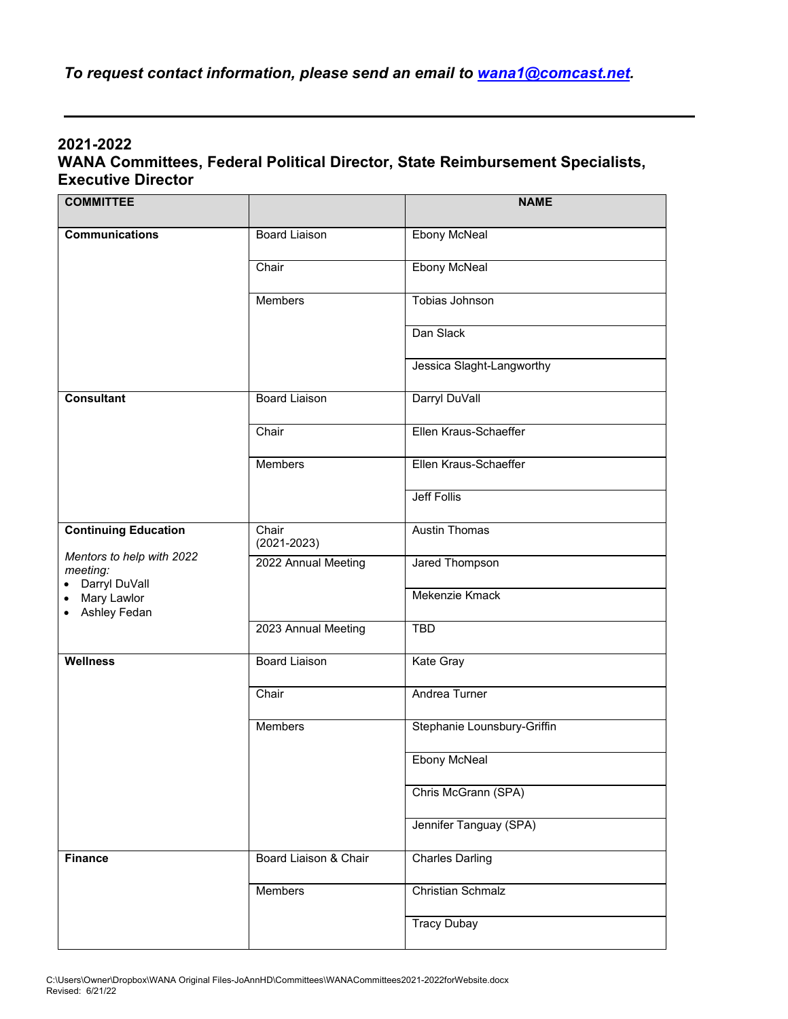## **2021-2022 WANA Committees, Federal Political Director, State Reimbursement Specialists, Executive Director**

| <b>COMMITTEE</b>                                                                                                                                            |                          | <b>NAME</b>                 |
|-------------------------------------------------------------------------------------------------------------------------------------------------------------|--------------------------|-----------------------------|
| <b>Communications</b>                                                                                                                                       | <b>Board Liaison</b>     | <b>Ebony McNeal</b>         |
|                                                                                                                                                             | Chair                    | <b>Ebony McNeal</b>         |
|                                                                                                                                                             | Members                  | <b>Tobias Johnson</b>       |
|                                                                                                                                                             |                          | Dan Slack                   |
|                                                                                                                                                             |                          | Jessica Slaght-Langworthy   |
| <b>Consultant</b>                                                                                                                                           | <b>Board Liaison</b>     | Darryl DuVall               |
|                                                                                                                                                             | Chair                    | Ellen Kraus-Schaeffer       |
|                                                                                                                                                             | <b>Members</b>           | Ellen Kraus-Schaeffer       |
|                                                                                                                                                             |                          | <b>Jeff Follis</b>          |
| <b>Continuing Education</b><br>Mentors to help with 2022<br>meeting:<br>Darryl DuVall<br>$\bullet$<br>Mary Lawlor<br>$\bullet$<br>Ashley Fedan<br>$\bullet$ | Chair<br>$(2021 - 2023)$ | <b>Austin Thomas</b>        |
|                                                                                                                                                             | 2022 Annual Meeting      | <b>Jared Thompson</b>       |
|                                                                                                                                                             |                          | Mekenzie Kmack              |
|                                                                                                                                                             | 2023 Annual Meeting      | <b>TBD</b>                  |
| <b>Wellness</b>                                                                                                                                             | <b>Board Liaison</b>     | <b>Kate Gray</b>            |
|                                                                                                                                                             | Chair                    | Andrea Turner               |
|                                                                                                                                                             | <b>Members</b>           | Stephanie Lounsbury-Griffin |
|                                                                                                                                                             |                          | <b>Ebony McNeal</b>         |
|                                                                                                                                                             |                          | Chris McGrann (SPA)         |
|                                                                                                                                                             |                          | Jennifer Tanguay (SPA)      |
| <b>Finance</b>                                                                                                                                              | Board Liaison & Chair    | <b>Charles Darling</b>      |
|                                                                                                                                                             | Members                  | <b>Christian Schmalz</b>    |
|                                                                                                                                                             |                          | <b>Tracy Dubay</b>          |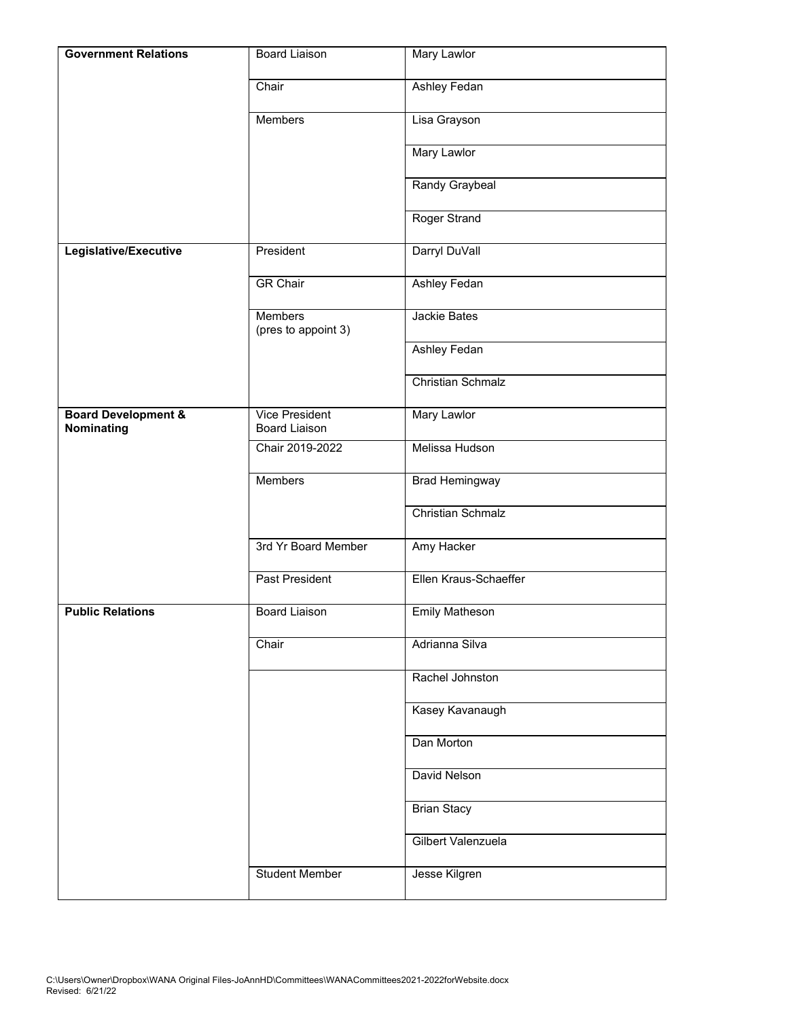| <b>Government Relations</b>                  | <b>Board Liaison</b>                   | <b>Mary Lawlor</b>       |
|----------------------------------------------|----------------------------------------|--------------------------|
|                                              | Chair                                  | <b>Ashley Fedan</b>      |
|                                              | <b>Members</b>                         | Lisa Grayson             |
|                                              |                                        | <b>Mary Lawlor</b>       |
|                                              |                                        | Randy Graybeal           |
|                                              |                                        | Roger Strand             |
| Legislative/Executive                        | President                              | Darryl DuVall            |
|                                              | <b>GR Chair</b>                        | <b>Ashley Fedan</b>      |
|                                              | <b>Members</b><br>(pres to appoint 3)  | <b>Jackie Bates</b>      |
|                                              |                                        | <b>Ashley Fedan</b>      |
|                                              |                                        | <b>Christian Schmalz</b> |
| <b>Board Development &amp;</b><br>Nominating | Vice President<br><b>Board Liaison</b> | <b>Mary Lawlor</b>       |
|                                              | Chair 2019-2022                        | Melissa Hudson           |
|                                              | <b>Members</b>                         | <b>Brad Hemingway</b>    |
|                                              |                                        | <b>Christian Schmalz</b> |
|                                              | 3rd Yr Board Member                    | Amy Hacker               |
|                                              | <b>Past President</b>                  | Ellen Kraus-Schaeffer    |
| <b>Public Relations</b>                      | <b>Board Liaison</b>                   | <b>Emily Matheson</b>    |
|                                              | Chair                                  | Adrianna Silva           |
|                                              |                                        | Rachel Johnston          |
|                                              |                                        | Kasey Kavanaugh          |
|                                              |                                        | Dan Morton               |
|                                              |                                        | David Nelson             |
|                                              |                                        | <b>Brian Stacy</b>       |
|                                              |                                        | Gilbert Valenzuela       |
|                                              | <b>Student Member</b>                  | Jesse Kilgren            |